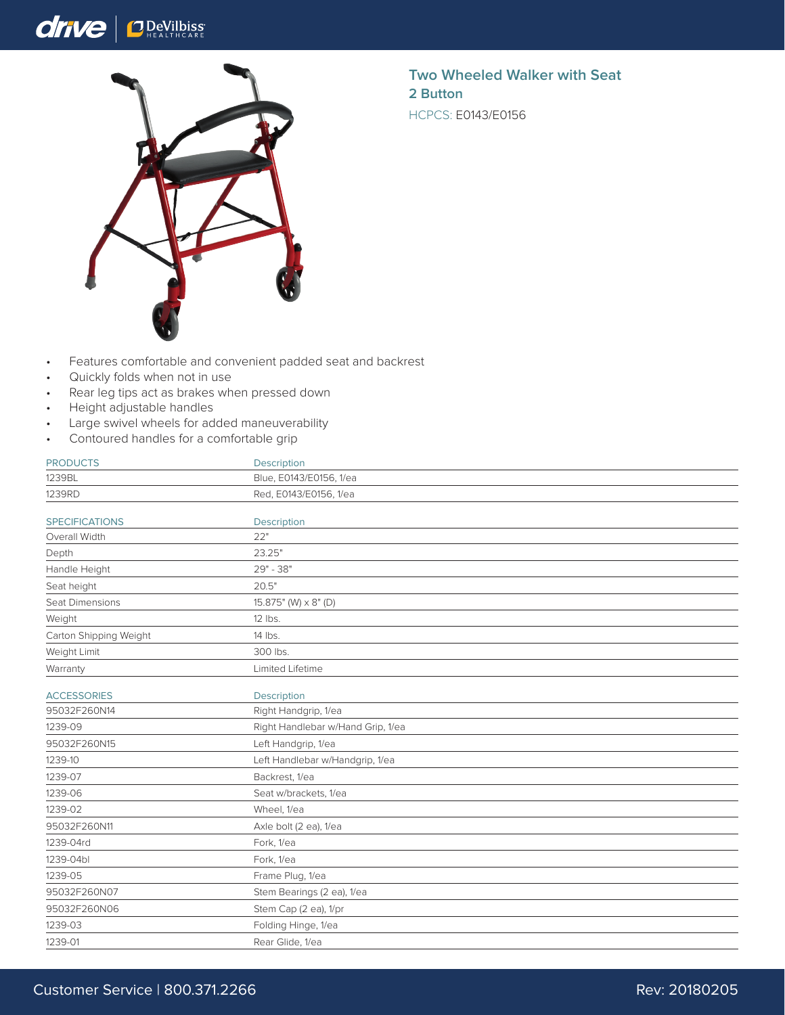## drive  $\bigcap_{H \in A} D$ eVilbiss



**Two Wheeled Walker with Seat 2 Button** HCPCS: E0143/E0156

- Features comfortable and convenient padded seat and backrest
- Quickly folds when not in use
- Rear leg tips act as brakes when pressed down
- Height adjustable handles
- Large swivel wheels for added maneuverability
- Contoured handles for a comfortable grip

| <b>PRODUCTS</b>        | <b>Description</b>                |
|------------------------|-----------------------------------|
| 1239BL                 | Blue, E0143/E0156, 1/ea           |
| 1239RD                 | Red, E0143/E0156, 1/ea            |
| <b>SPECIFICATIONS</b>  | Description                       |
| Overall Width          | 22"                               |
| Depth                  | 23.25"                            |
| Handle Height          | 29" - 38"                         |
| Seat height            | 20.5"                             |
| Seat Dimensions        | 15.875" (W) x 8" (D)              |
| Weight                 | $12$ lbs.                         |
| Carton Shipping Weight | 14 lbs.                           |
| Weight Limit           | 300 lbs.                          |
| Warranty               | Limited Lifetime                  |
| <b>ACCESSORIES</b>     | Description                       |
| 95032F260N14           | Right Handgrip, 1/ea              |
| 1239-09                | Right Handlebar w/Hand Grip, 1/ea |
| 95032F260N15           | Left Handgrip, 1/ea               |
| 1239-10                | Left Handlebar w/Handgrip, 1/ea   |
| 1239-07                | Backrest, 1/ea                    |
| 1239-06                | Seat w/brackets, 1/ea             |
| 1239-02                | Wheel, 1/ea                       |
| 95032F260N11           | Axle bolt (2 ea), 1/ea            |
| 1239-04rd              | Fork, 1/ea                        |
| 1239-04bl              | Fork, 1/ea                        |
| 1239-05                | Frame Plug, 1/ea                  |
| 95032F260N07           | Stem Bearings (2 ea), 1/ea        |
| 95032F260N06           | Stem Cap (2 ea), 1/pr             |
| 1239-03                | Folding Hinge, 1/ea               |
| 1239-01                | Rear Glide, 1/ea                  |
|                        |                                   |